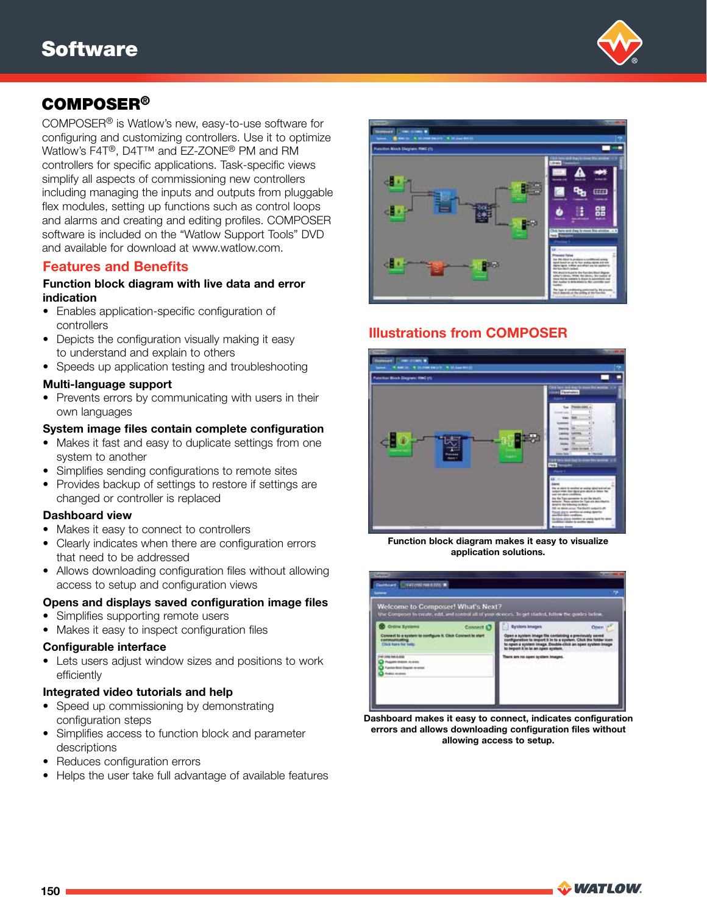

# COMPOSER®

COMPOSER® is Watlow's new, easy-to-use software for configuring and customizing controllers. Use it to optimize Watlow's F4T®, D4T™ and EZ-ZONE® PM and RM controllers for specific applications. Task-specific views simplify all aspects of commissioning new controllers including managing the inputs and outputs from pluggable flex modules, setting up functions such as control loops and alarms and creating and editing profiles. COMPOSER software is included on the "Watlow Support Tools" DVD and available for download at www.watlow.com.

### Features and Benefits

#### Function block diagram with live data and error indication

- Enables application-specific configuration of controllers
- Depicts the configuration visually making it easy to understand and explain to others
- Speeds up application testing and troubleshooting

#### Multi-language support

• Prevents errors by communicating with users in their own languages

#### System image files contain complete configuration

- Makes it fast and easy to duplicate settings from one system to another
- Simplifies sending configurations to remote sites
- Provides backup of settings to restore if settings are changed or controller is replaced

#### Dashboard view

- Makes it easy to connect to controllers
- Clearly indicates when there are configuration errors that need to be addressed
- Allows downloading configuration files without allowing access to setup and configuration views

#### Opens and displays saved configuration image files

- Simplifies supporting remote users
- Makes it easy to inspect configuration files

#### Configurable interface

• Lets users adjust window sizes and positions to work efficiently

#### Integrated video tutorials and help

- Speed up commissioning by demonstrating configuration steps
- Simplifies access to function block and parameter descriptions
- Reduces configuration errors
- Helps the user take full advantage of available features



# Illustrations from COMPOSER



Function block diagram makes it easy to visualize application solutions.

| Welcome to Composer! What's Next?<br>Use Composer to create, edd. and control all of your devices. To get started, follow the guides below. |                                                                                                                                         |
|---------------------------------------------------------------------------------------------------------------------------------------------|-----------------------------------------------------------------------------------------------------------------------------------------|
| <b>Critica Systems</b><br><b>Connect</b><br>Connect to a system to configure it. Click Connect to start<br><b>CONTINUES IN THE</b>          | <b>Bysters Images</b><br>austem Image file com<br>pen a system image. Double-click an open system<br>to beginn it in to an open system. |
| THE REAL ENE<br><b>Puscality distincts as exert</b><br>Function Stock Streeted red-brings<br><b>Rudes Avenue</b>                            | There are no open system images.<br>and the fact that is a strict of the                                                                |

Dashboard makes it easy to connect, indicates configuration errors and allows downloading configuration files without allowing access to setup.

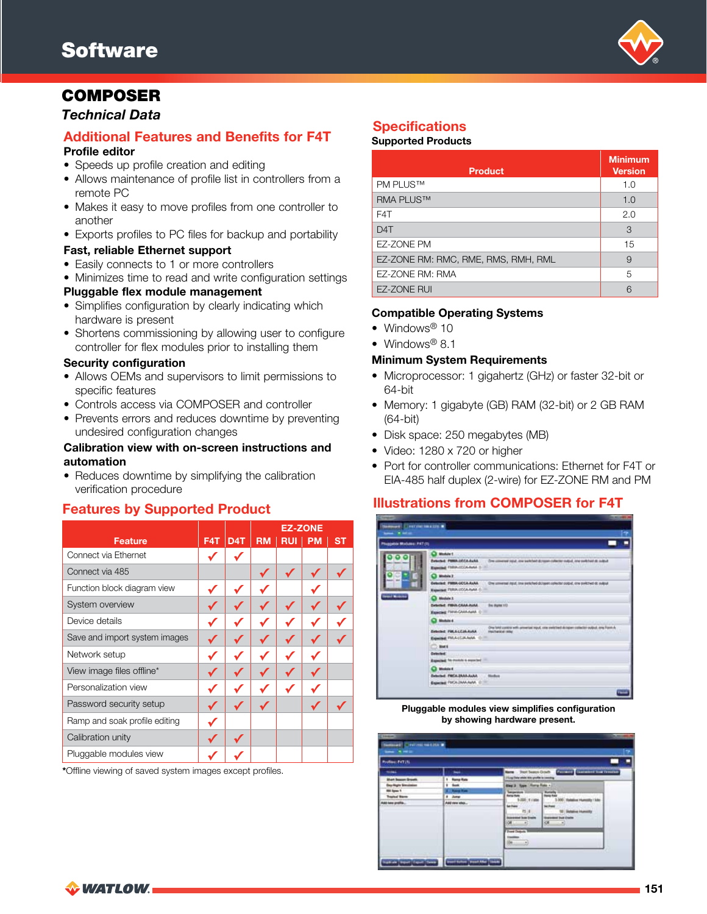

# COMPOSER

### *Technical Data*

#### Additional Features and Benefits for F4T Profile editor

- Speeds up profile creation and editing
- Allows maintenance of profile list in controllers from a remote PC
- Makes it easy to move profiles from one controller to another
- Exports profiles to PC files for backup and portability

#### Fast, reliable Ethernet support

- Easily connects to 1 or more controllers
- Minimizes time to read and write configuration settings

#### Pluggable flex module management

- Simplifies configuration by clearly indicating which hardware is present
- Shortens commissioning by allowing user to configure controller for flex modules prior to installing them

#### Security configuration

- Allows OEMs and supervisors to limit permissions to specific features
- Controls access via COMPOSER and controller
- Prevents errors and reduces downtime by preventing undesired configuration changes

#### Calibration view with on-screen instructions and automation

• Reduces downtime by simplifying the calibration verification procedure

|                               |     |                  |           |            | <b>EZ-ZONE</b> |           |
|-------------------------------|-----|------------------|-----------|------------|----------------|-----------|
| <b>Feature</b>                | F4T | D <sub>4</sub> T | <b>RM</b> | <b>RUI</b> | <b>PM</b>      | <b>ST</b> |
| Connect via Ethernet          |     |                  |           |            |                |           |
| Connect via 485               |     |                  | ✓         | ✔          |                |           |
| Function block diagram view   |     |                  |           |            |                |           |
| System overview               |     |                  |           |            |                |           |
| Device details                |     |                  |           |            |                |           |
| Save and import system images |     |                  |           |            |                |           |
| Network setup                 |     |                  |           |            |                |           |
| View image files offline*     |     |                  |           |            |                |           |
| Personalization view          |     |                  |           |            |                |           |
| Password security setup       |     |                  |           |            | ✔              |           |
| Ramp and soak profile editing |     |                  |           |            |                |           |
| Calibration unity             |     |                  |           |            |                |           |
| Pluggable modules view        |     |                  |           |            |                |           |

\*Offline viewing of saved system images except profiles.

# **Specifications**

#### Supported Products

| <b>Product</b>                      | <b>Minimum</b><br><b>Version</b> |
|-------------------------------------|----------------------------------|
| <b>PM PLUS™</b>                     | 1.0                              |
| <b>RMA PLUS™</b>                    | 1.0                              |
| F4T                                 | 2.0                              |
| D <sub>4</sub> T                    | 3                                |
| EZ-ZONE PM                          | 15                               |
| EZ-ZONE RM: RMC, RME, RMS, RMH, RML | 9                                |
| EZ-ZONE RM: RMA                     | 5                                |
| <b>EZ-ZONE RUI</b>                  | Բ                                |

#### Compatible Operating Systems

- Windows<sup>®</sup> 10
- Windows<sup>®</sup> 8.1

#### Minimum System Requirements

- Microprocessor: 1 gigahertz (GHz) or faster 32-bit or 64-bit
- Memory: 1 gigabyte (GB) RAM (32-bit) or 2 GB RAM (64-bit)
- Disk space: 250 megabytes (MB)
- Video: 1280 x 720 or higher
- Port for controller communications: Ethernet for F4T or EIA-485 half duplex (2-wire) for EZ-ZONE RM and PM

# Features by Supported Product **Illustrations from COMPOSER for F4T**



#### Pluggable modules view simplifies configuration by showing hardware present.

| <b>Profilect FxT2N</b>         |                         |                                                             |                                                                                                      |
|--------------------------------|-------------------------|-------------------------------------------------------------|------------------------------------------------------------------------------------------------------|
| --<br><b>Mart Season Brown</b> | ⊷<br>1 <b>Hang Rote</b> | <b>Blazes</b><br>215 hp Think offers this youth is consing. | Post busine Grade Controlling Committee and Controlling                                              |
| <b>Buy Highs Simulation</b>    | 1 box                   | <b>Day 3 Tops Turry Fold +</b>                              |                                                                                                      |
| <b>RE Spou 1</b>               | <b>Bank Free</b>        |                                                             |                                                                                                      |
| <b>Trailed Barre</b>           | # June                  | <b>Barray Rums</b><br>5.000 E1MH                            | <b>Rational</b><br>3.000 Halaline Humanity / Min                                                     |
| <b>10 best profile.</b>        | Antime wks              | <b>La Franc</b><br>性比<br>awared boo Engine<br>壤             | <b>Sec Presid</b><br>12 Scholing Humority<br><b><i>SHERRING THAT CARDS</i></b><br><b>ROK</b><br>$-1$ |
|                                |                         | <b>Point Dollars</b><br>- 29                                |                                                                                                      |

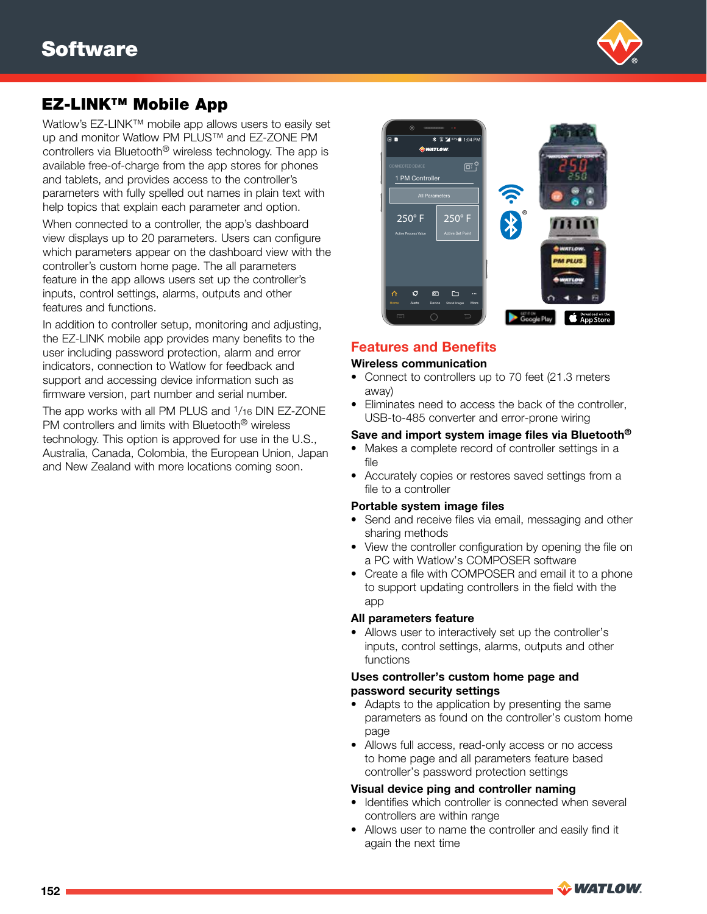

# EZ-LINK™ Mobile App

Watlow's EZ-LINK™ mobile app allows users to easily set up and monitor Watlow PM PLUS™ and EZ-ZONE PM controllers via Bluetooth® wireless technology. The app is available free-of-charge from the app stores for phones and tablets, and provides access to the controller's parameters with fully spelled out names in plain text with help topics that explain each parameter and option.

When connected to a controller, the app's dashboard view displays up to 20 parameters. Users can configure which parameters appear on the dashboard view with the controller's custom home page. The all parameters feature in the app allows users set up the controller's inputs, control settings, alarms, outputs and other features and functions.

In addition to controller setup, monitoring and adjusting, the EZ-LINK mobile app provides many benefits to the user including password protection, alarm and error indicators, connection to Watlow for feedback and support and accessing device information such as firmware version, part number and serial number.

The app works with all PM PLUS and <sup>1</sup>/16 DIN EZ-ZONE PM controllers and limits with Bluetooth® wireless technology. This option is approved for use in the U.S., Australia, Canada, Colombia, the European Union, Japan and New Zealand with more locations coming soon.



# Features and Benefits

#### Wireless communication

- Connect to controllers up to 70 feet (21.3 meters away)
- Eliminates need to access the back of the controller, USB-to-485 converter and error-prone wiring

#### Save and import system image files via Bluetooth®

- Makes a complete record of controller settings in a file
- Accurately copies or restores saved settings from a file to a controller

#### Portable system image files

- Send and receive files via email, messaging and other sharing methods
- View the controller configuration by opening the file on a PC with Watlow's COMPOSER software
- Create a file with COMPOSER and email it to a phone to support updating controllers in the field with the app

#### All parameters feature

• Allows user to interactively set up the controller's inputs, control settings, alarms, outputs and other functions

#### Uses controller's custom home page and password security settings

- Adapts to the application by presenting the same parameters as found on the controller's custom home page
- Allows full access, read-only access or no access to home page and all parameters feature based controller's password protection settings

#### Visual device ping and controller naming

- Identifies which controller is connected when several controllers are within range
- Allows user to name the controller and easily find it again the next time

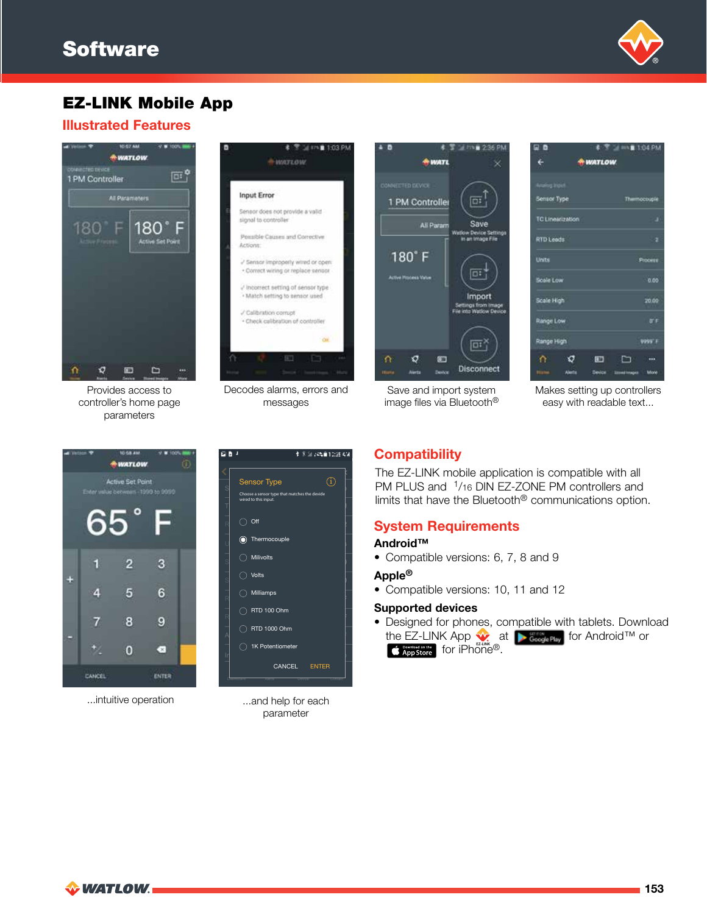

**B** 1:04 PM

# EZ-LINK Mobile App

### Illustrated Features



Provides access to controller's home page parameters



Decodes alarms, errors and messages





D B

Save and import system image files via Bluetooth®

Makes setting up controllers easy with readable text...



...intuitive operation



...and help for each parameter

# **Compatibility**

The EZ-LINK mobile application is compatible with all PM PLUS and <sup>1</sup>/16 DIN EZ-ZONE PM controllers and limits that have the Bluetooth<sup>®</sup> communications option.

# System Requirements

### Android™

• Compatible versions: 6, 7, 8 and 9

#### Apple®

• Compatible versions: 10, 11 and 12

#### Supported devices

• Designed for phones, compatible with tablets. Download the EZ-LINK App  $\sqrt{\bullet}$  at  $\bullet$  GeodePtay</sub> for Android™ or **C** App Store for iPhone®.

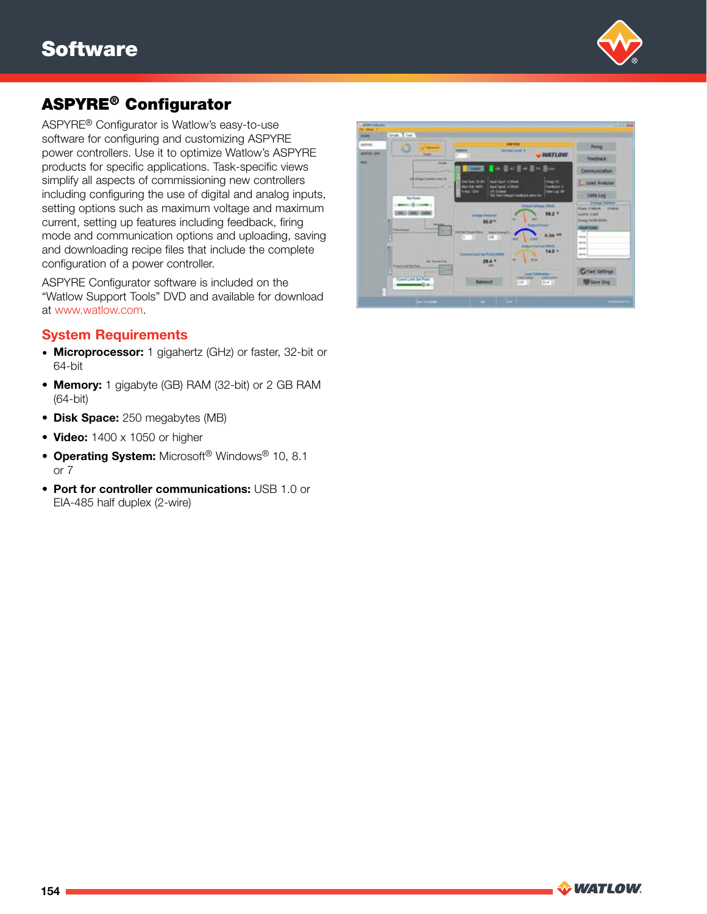

# ASPYRE® Configurator

ASPYRE® Configurator is Watlow's easy-to-use software for configuring and customizing ASPYRE power controllers. Use it to optimize Watlow's ASPYRE products for specific applications. Task-specific views simplify all aspects of commissioning new controllers including configuring the use of digital and analog inputs, setting options such as maximum voltage and maximum current, setting up features including feedback, firing mode and communication options and uploading, saving and downloading recipe files that include the complete configuration of a power controller.

ASPYRE Configurator software is included on the "Watlow Support Tools" DVD and available for download at www.watlow.com.

### System Requirements

- Microprocessor: 1 gigahertz (GHz) or faster, 32-bit or 64-bit
- Memory: 1 gigabyte (GB) RAM (32-bit) or 2 GB RAM (64-bit)
- Disk Space: 250 megabytes (MB)
- Video: 1400 x 1050 or higher
- Operating System: Microsoft<sup>®</sup> Windows<sup>®</sup> 10, 8.1 or 7
- Port for controller communications: USB 1.0 or EIA-485 half duplex (2-wire)

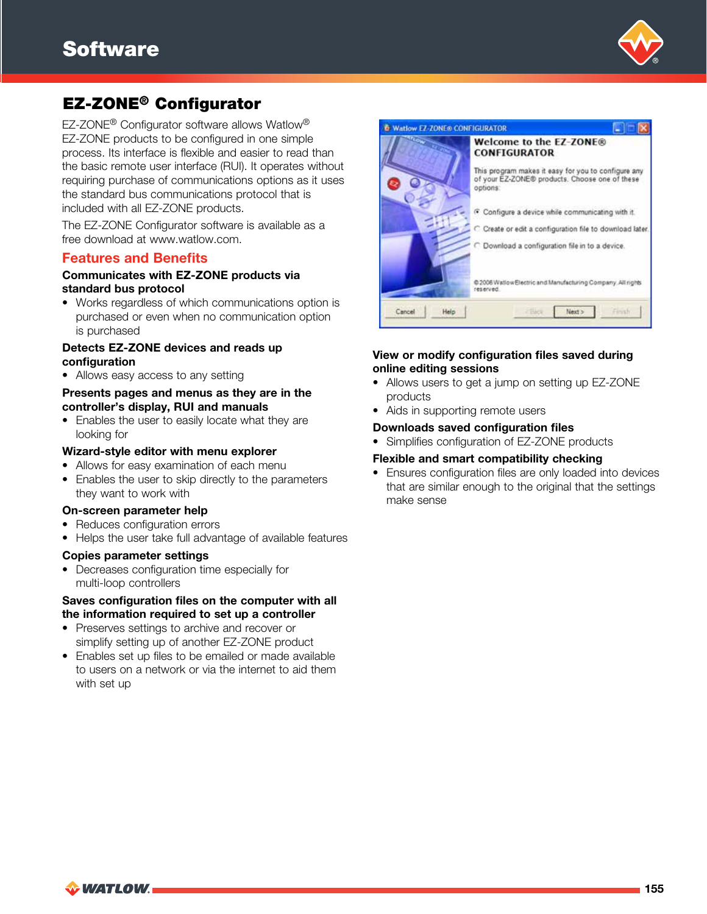

# EZ-ZONE® Configurator

EZ-ZONE® Configurator software allows Watlow® EZ-ZONE products to be configured in one simple process. Its interface is flexible and easier to read than the basic remote user interface (RUI). It operates without requiring purchase of communications options as it uses the standard bus communications protocol that is included with all EZ-ZONE products.

The EZ-ZONE Configurator software is available as a free download at www.watlow.com.

### Features and Benefits

#### Communicates with EZ-ZONE products via standard bus protocol

• Works regardless of which communications option is purchased or even when no communication option is purchased

#### Detects EZ-ZONE devices and reads up configuration

• Allows easy access to any setting

### Presents pages and menus as they are in the controller's display, RUI and manuals

• Enables the user to easily locate what they are looking for

#### Wizard-style editor with menu explorer

- Allows for easy examination of each menu
- Enables the user to skip directly to the parameters they want to work with

#### On-screen parameter help

- Reduces configuration errors
- Helps the user take full advantage of available features

#### Copies parameter settings

• Decreases configuration time especially for multi-loop controllers

#### Saves configuration files on the computer with all the information required to set up a controller

- Preserves settings to archive and recover or simplify setting up of another EZ-ZONE product
- Enables set up files to be emailed or made available to users on a network or via the internet to aid them with set up



### View or modify configuration files saved during online editing sessions

- Allows users to get a jump on setting up EZ-ZONE products
- Aids in supporting remote users

#### Downloads saved configuration files

• Simplifies configuration of EZ-ZONE products

#### Flexible and smart compatibility checking

• Ensures configuration files are only loaded into devices that are similar enough to the original that the settings make sense

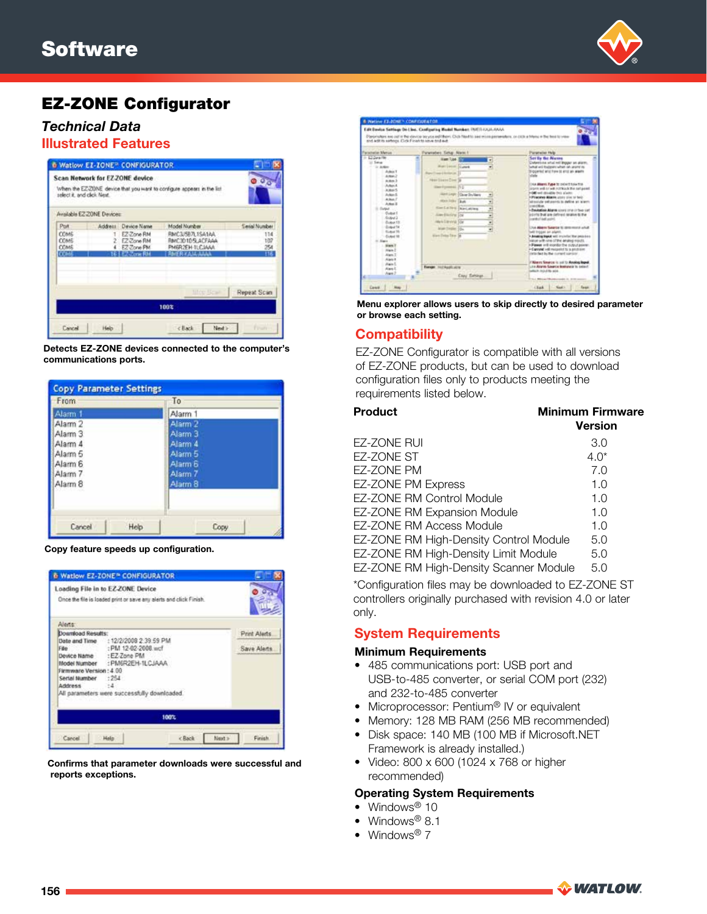

# EZ-ZONE Configurator

# *Technical Data*

# Illustrated Features

|               | When the EZ-20NE device that you want to configure appears in the list |              |                            | Scan Network for EZ-ZONE device<br>select it, and click Next. |
|---------------|------------------------------------------------------------------------|--------------|----------------------------|---------------------------------------------------------------|
|               |                                                                        |              | Available EZ-ZONE Devices: |                                                               |
| Serial Number | Model Number                                                           | Device Name  | Address                    | Pot                                                           |
| 114           | RMC3/5R7L1SA1AA                                                        | EZ-Zone RM   |                            | <b>COM6</b>                                                   |
| 107           | RMC30105LADFAAA                                                        | 2 EZ-Zone RM |                            | COMS                                                          |
| 254           | PMERZEH-TLCJAAA                                                        | EZ-Zone PM   |                            | COME                                                          |
| 116           | <b>RMER KAIA AAAA</b>                                                  | EZ-Zone RH   |                            | COM6                                                          |
| Repeat Scan   | <b>Middle Blow</b>                                                     |              |                            |                                                               |
|               | 100%                                                                   |              |                            |                                                               |
|               |                                                                        |              |                            |                                                               |

Detects EZ-ZONE devices connected to the computer's communications ports.

| From               |      | To                 |
|--------------------|------|--------------------|
| Alarm 1            |      | Alarm 1            |
| Alarm <sub>2</sub> |      | Alarm <sub>2</sub> |
| Alarm <sub>3</sub> |      | Alarm 3            |
| Alarm 4            |      | Alarm 4            |
| Alarm 5            |      | Alarm 5            |
| Alarm 6            |      | Alarm 6            |
| Alarm 7            |      | Alarm 7            |
| Alarm <sub>8</sub> |      | Alarm 8            |
| Cancel             | Help | Copy               |

Copy feature speeds up configuration.

| Loading File in to EZ-ZONE Device                           | Once the file is loaded print or save any alerts and click Finish.                                                                                                              |              |
|-------------------------------------------------------------|---------------------------------------------------------------------------------------------------------------------------------------------------------------------------------|--------------|
| Alerts:                                                     |                                                                                                                                                                                 |              |
| Download Results:                                           |                                                                                                                                                                                 | Print Alerts |
| Firmware Version: 4.00<br>Serial Number : 254<br>Address :4 | Date and Time : 12/2/2008 2:39.59 PM<br>File : PM 12-02-2008.wcf<br>Device Name: : EZ-Zone PM<br>Model Number : PM6R2EH-1LCJAAA<br>All parameters were successfully downloaded. | Save Alerts  |
|                                                             | 100%                                                                                                                                                                            |              |

Confirms that parameter downloads were successful and reports exceptions.



Menu explorer allows users to skip directly to desired parameter or browse each setting.

### **Compatibility**

EZ-ZONE Configurator is compatible with all versions of EZ-ZONE products, but can be used to download configuration files only to products meeting the requirements listed below.

| <b>Product</b>                         | <b>Minimum Firmware</b><br><b>Version</b> |
|----------------------------------------|-------------------------------------------|
| EZ-ZONE RUI                            | 3.0                                       |
| EZ-ZONE ST                             | $4.0*$                                    |
| EZ-ZONE PM                             | 7.0                                       |
| EZ-ZONE PM Express                     | 1.0                                       |
| <b>EZ-ZONE RM Control Module</b>       | 1.0                                       |
| EZ-ZONE RM Expansion Module            | 1.0                                       |
| <b>EZ-ZONE RM Access Module</b>        | 1.0                                       |
| EZ-ZONE RM High-Density Control Module | 5.0                                       |
| EZ-ZONE RM High-Density Limit Module   | 5.0                                       |
| EZ-ZONE RM High-Density Scanner Module | 5.0                                       |

\*Configuration files may be downloaded to EZ-ZONE ST controllers originally purchased with revision 4.0 or later only.

# System Requirements

#### Minimum Requirements

- 485 communications port: USB port and USB-to-485 converter, or serial COM port (232) and 232-to-485 converter
- Microprocessor: Pentium<sup>®</sup> IV or equivalent
- Memory: 128 MB RAM (256 MB recommended)
- Disk space: 140 MB (100 MB if Microsoft.NET Framework is already installed.)
- Video: 800 x 600 (1024 x 768 or higher recommended)

#### Operating System Requirements

- Windows<sup>®</sup> 10
- Windows<sup>®</sup> 8.1
- Windows<sup>®</sup>  $7$

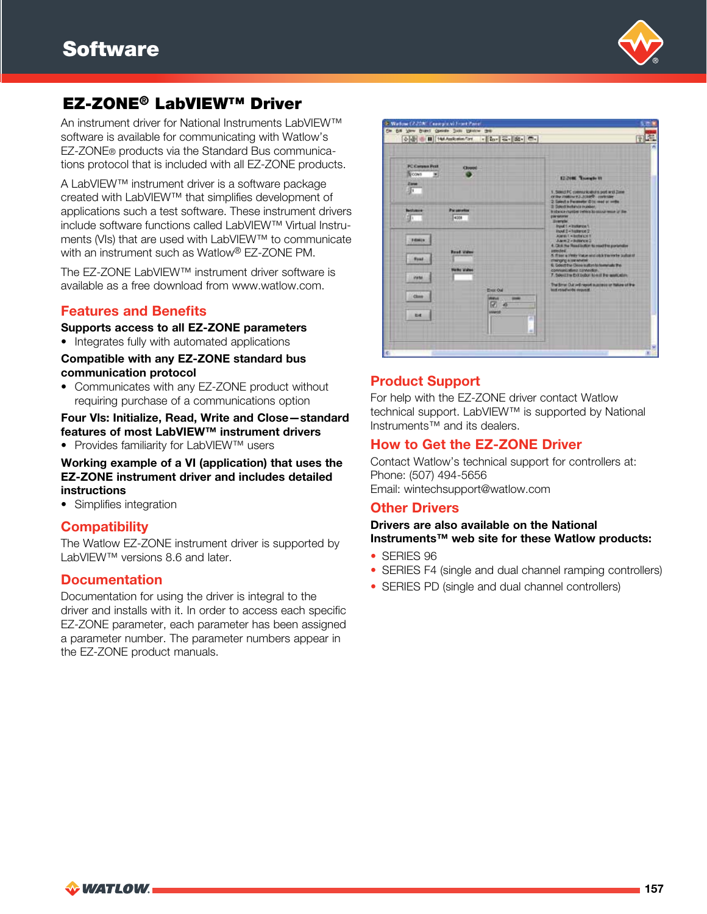

# EZ-ZONE® LabVIEW™ Driver

An instrument driver for National Instruments LabVIEW™ software is available for communicating with Watlow's EZ-ZONE® products via the Standard Bus communications protocol that is included with all EZ-ZONE products.

A LabVIEW™ instrument driver is a software package created with LabVIEW™ that simplifies development of applications such a test software. These instrument drivers include software functions called LabVIEW™ Virtual Instruments (VIs) that are used with LabVIEW™ to communicate with an instrument such as Watlow® EZ-ZONE PM.

The EZ-ZONE LabVIEW™ instrument driver software is available as a free download from www.watlow.com.

# Features and Benefits

Supports access to all EZ-ZONE parameters

• Integrates fully with automated applications

Compatible with any EZ-ZONE standard bus communication protocol

• Communicates with any EZ-ZONE product without requiring purchase of a communications option

### Four Vls: Initialize, Read, Write and Close—standard features of most LabVIEW™ instrument drivers

• Provides familiarity for LabVIEW™ users

Working example of a VI (application) that uses the EZ-ZONE instrument driver and includes detailed instructions

• Simplifies integration

# **Compatibility**

The Watlow EZ-ZONE instrument driver is supported by LabVIEW™ versions 8.6 and later.

### **Documentation**

Documentation for using the driver is integral to the driver and installs with it. In order to access each specific EZ-ZONE parameter, each parameter has been assigned a parameter number. The parameter numbers appear in the EZ-ZONE product manuals.



# Product Support

For help with the EZ-ZONE driver contact Watlow technical support. LabVIEW™ is supported by National Instruments™ and its dealers.

### How to Get the EZ-ZONE Driver

Contact Watlow's technical support for controllers at: Phone: (507) 494-5656 Email: wintechsupport@watlow.com

### Other Drivers

### Drivers are also available on the National Instruments™ web site for these Watlow products:

- SERIES 96
- SERIES F4 (single and dual channel ramping controllers)
- SERIES PD (single and dual channel controllers)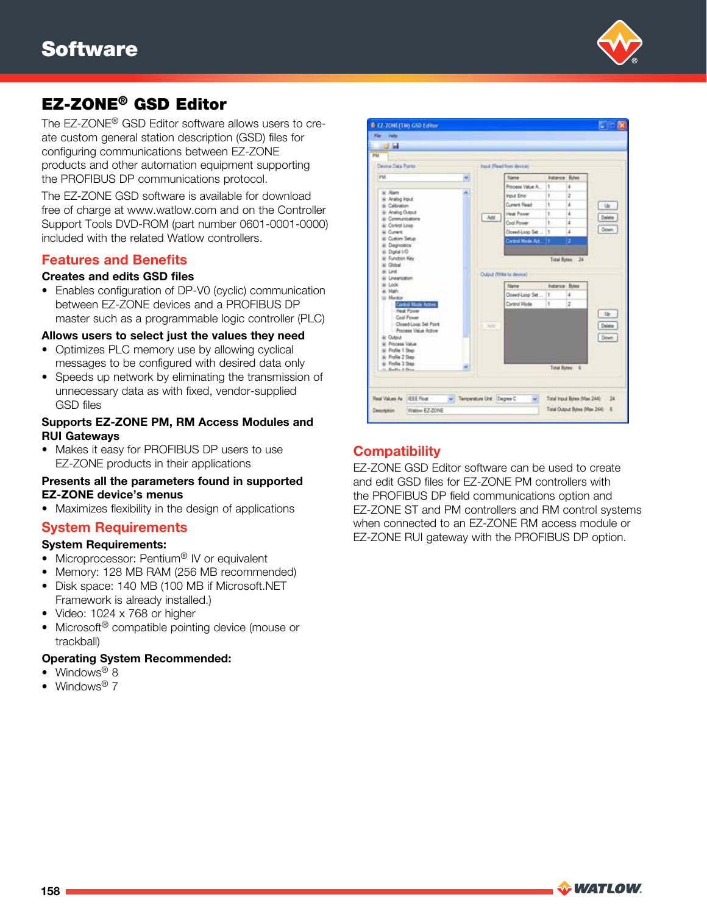

# EZ-ZONE® GSD Editor

The EZ-ZONE® GSD Editor software allows users to create custom general station description (GSD) files for configuring communications between EZ-ZONE products and other automation equipment supporting the PROFIBUS DP communications protocol.

The EZ-ZONE GSD software is available for download free of charge at www.watlow.com and on the Controller Support Tools DVD-ROM (part number 0601-0001-0000) included with the related Watlow controllers.

### Features and Benefits

#### Creates and edits GSD files

• Enables configuration of DP-V0 (cyclic) communication between EZ-ZONE devices and a PROFIBUS DP master such as a programmable logic controller (PLC)

#### Allows users to select just the values they need

- Optimizes PLC memory use by allowing cyclical messages to be configured with desired data only
- Speeds up network by eliminating the transmission of unnecessary data as with fixed, vendor-supplied GSD files

#### Supports EZ-ZONE PM, RM Access Modules and RUI Gateways

• Makes it easy for PROFIBUS DP users to use EZ-ZONE products in their applications

#### Presents all the parameters found in supported EZ-ZONE device's menus

• Maximizes flexibility in the design of applications

#### System Requirements

#### System Requirements:

- Microprocessor: Pentium<sup>®</sup> IV or equivalent
- Memory: 128 MB RAM (256 MB recommended)
- Disk space: 140 MB (100 MB if Microsoft.NET Framework is already installed.)
- Video: 1024 x 768 or higher
- Microsoft<sup>®</sup> compatible pointing device (mouse or trackball)

#### Operating System Recommended:

- Windows<sup>®</sup> 8
- Windows<sup>®</sup> 7



# **Compatibility**

EZ-ZONE GSD Editor software can be used to create and edit GSD files for EZ-ZONE PM controllers with the PROFIBUS DP field communications option and EZ-ZONE ST and PM controllers and RM control systems when connected to an EZ-ZONE RM access module or EZ-ZONE RUI gateway with the PROFIBUS DP option.

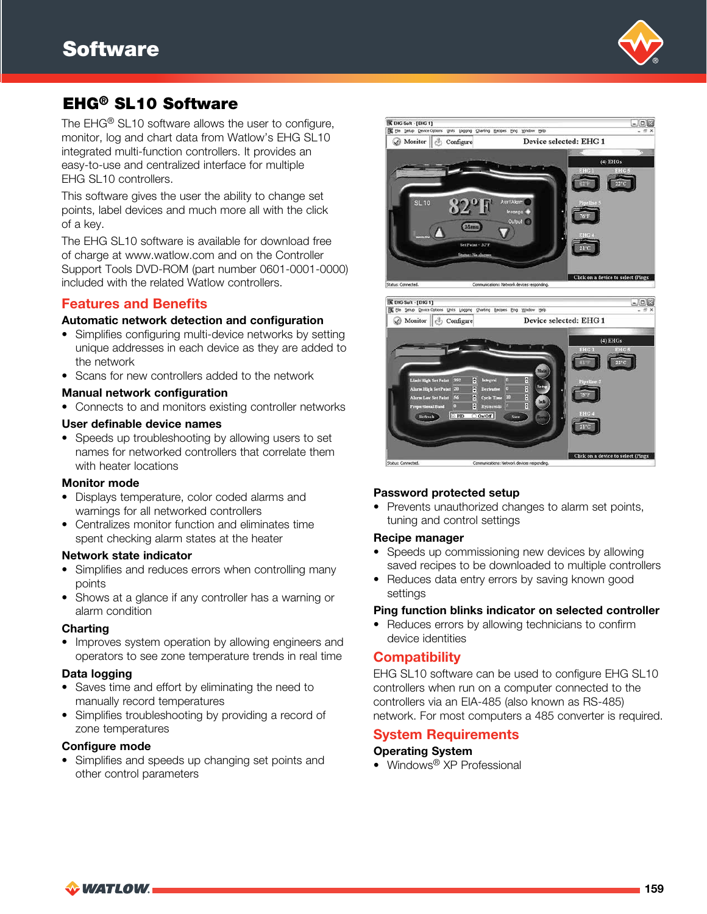

# EHG® SL10 Software

The EHG<sup>®</sup> SL10 software allows the user to configure, monitor, log and chart data from Watlow's EHG SL10 integrated multi-function controllers. It provides an easy-to-use and centralized interface for multiple EHG SL10 controllers.

This software gives the user the ability to change set points, label devices and much more all with the click of a key.

The EHG SL10 software is available for download free of charge at www.watlow.com and on the Controller Support Tools DVD-ROM (part number 0601-0001-0000) included with the related Watlow controllers.

### Features and Benefits

#### Automatic network detection and configuration

- Simplifies configuring multi-device networks by setting unique addresses in each device as they are added to the network
- Scans for new controllers added to the network

#### Manual network configuration

• Connects to and monitors existing controller networks

#### User definable device names

• Speeds up troubleshooting by allowing users to set names for networked controllers that correlate them with heater locations

#### Monitor mode

- Displays temperature, color coded alarms and warnings for all networked controllers
- Centralizes monitor function and eliminates time spent checking alarm states at the heater

#### Network state indicator

- Simplifies and reduces errors when controlling many points
- Shows at a glance if any controller has a warning or alarm condition

#### Charting

• Improves system operation by allowing engineers and operators to see zone temperature trends in real time

#### Data logging

- Saves time and effort by eliminating the need to manually record temperatures
- Simplifies troubleshooting by providing a record of zone temperatures

#### Configure mode

• Simplifies and speeds up changing set points and other control parameters





#### Password protected setup

• Prevents unauthorized changes to alarm set points, tuning and control settings

#### Recipe manager

- Speeds up commissioning new devices by allowing saved recipes to be downloaded to multiple controllers
- Reduces data entry errors by saving known good settings

#### Ping function blinks indicator on selected controller

• Reduces errors by allowing technicians to confirm device identities

### **Compatibility**

EHG SL10 software can be used to configure EHG SL10 controllers when run on a computer connected to the controllers via an EIA-485 (also known as RS-485) network. For most computers a 485 converter is required.

#### System Requirements

#### Operating System

• Windows<sup>®</sup> XP Professional

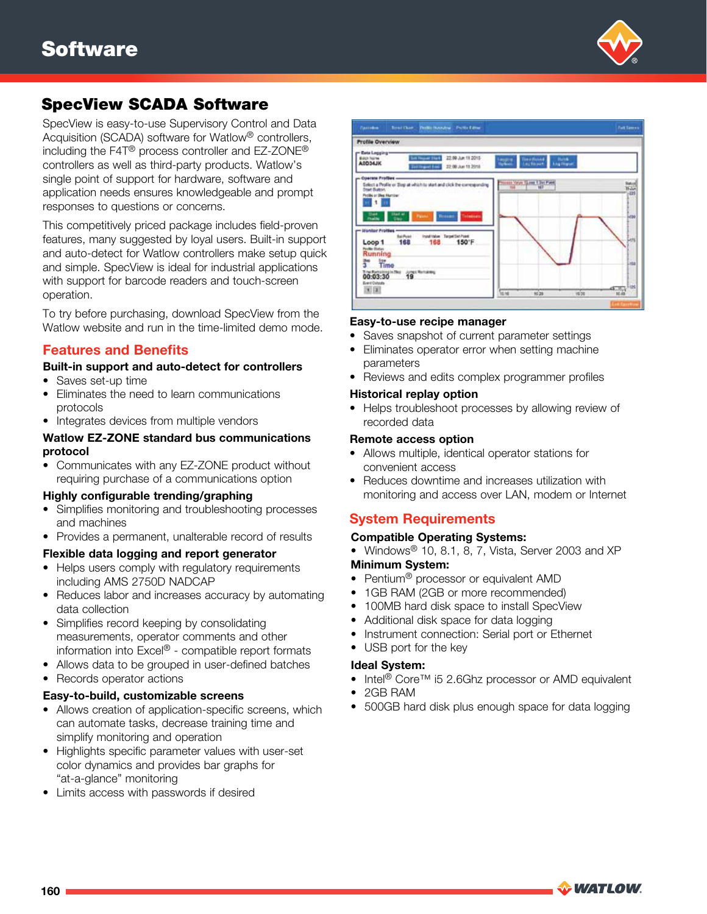

SpecView is easy-to-use Supervisory Control and Data Acquisition (SCADA) software for Watlow® controllers, including the F4T® process controller and EZ-ZONE® controllers as well as third-party products. Watlow's single point of support for hardware, software and application needs ensures knowledgeable and prompt responses to questions or concerns.

This competitively priced package includes field-proven features, many suggested by loyal users. Built-in support and auto-detect for Watlow controllers make setup quick and simple. SpecView is ideal for industrial applications with support for barcode readers and touch-screen operation.

To try before purchasing, download SpecView from the Watlow website and run in the time-limited demo mode.

### Features and Benefits

#### Built-in support and auto-detect for controllers

- Saves set-up time
- Eliminates the need to learn communications protocols
- Integrates devices from multiple vendors

#### Watlow EZ-ZONE standard bus communications protocol

• Communicates with any EZ-ZONE product without requiring purchase of a communications option

#### Highly configurable trending/graphing

- Simplifies monitoring and troubleshooting processes and machines
- Provides a permanent, unalterable record of results

#### Flexible data logging and report generator

- Helps users comply with regulatory requirements including AMS 2750D NADCAP
- Reduces labor and increases accuracy by automating data collection
- Simplifies record keeping by consolidating measurements, operator comments and other information into Excel® - compatible report formats
- Allows data to be grouped in user-defined batches
- Records operator actions

#### Easy-to-build, customizable screens

- Allows creation of application-specific screens, which can automate tasks, decrease training time and simplify monitoring and operation
- Highlights specific parameter values with user-set color dynamics and provides bar graphs for "at-a-glance" monitoring
- Limits access with passwords if desired



#### Easy-to-use recipe manager

- Saves snapshot of current parameter settings
- Eliminates operator error when setting machine parameters
- Reviews and edits complex programmer profiles

#### Historical replay option

• Helps troubleshoot processes by allowing review of recorded data

#### Remote access option

- Allows multiple, identical operator stations for convenient access
- Reduces downtime and increases utilization with monitoring and access over LAN, modem or Internet

# System Requirements

#### Compatible Operating Systems:

- Windows<sup>®</sup> 10, 8.1, 8, 7, Vista, Server 2003 and XP Minimum System:
- Pentium<sup>®</sup> processor or equivalent AMD
- 1GB RAM (2GB or more recommended)
- 100MB hard disk space to install SpecView
- Additional disk space for data logging
- Instrument connection: Serial port or Ethernet
- USB port for the key

#### Ideal System:

- Intel® Core™ i5 2.6Ghz processor or AMD equivalent
- 2GB RAM
- 500GB hard disk plus enough space for data logging

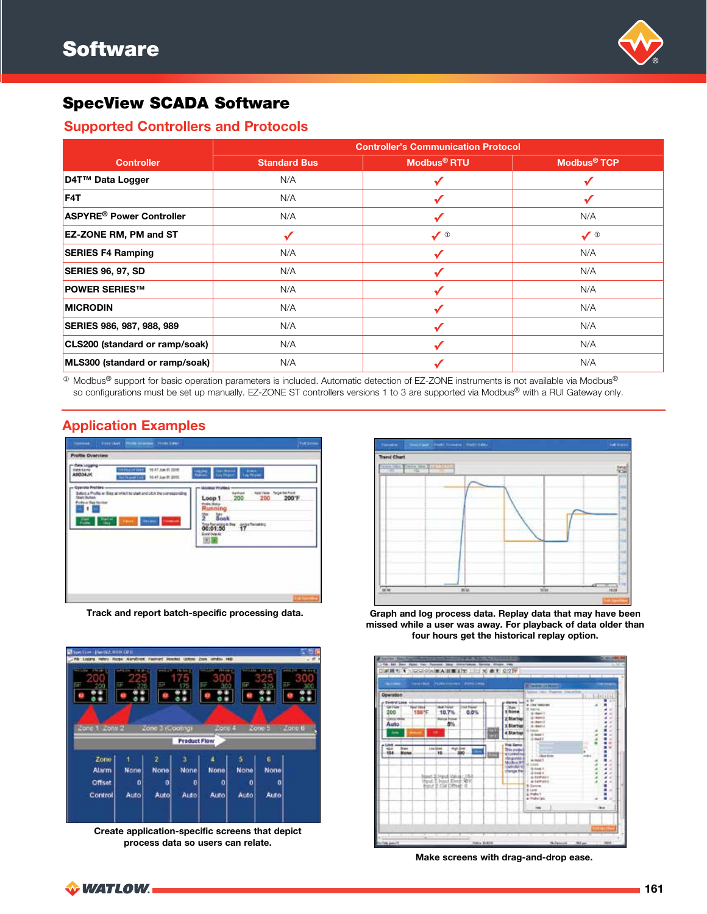

### Supported Controllers and Protocols

|                                            | <b>Controller's Communication Protocol</b> |                         |                         |  |  |  |  |
|--------------------------------------------|--------------------------------------------|-------------------------|-------------------------|--|--|--|--|
| <b>Controller</b>                          | <b>Standard Bus</b>                        | Modbus <sup>®</sup> RTU | Modbus <sup>®</sup> TCP |  |  |  |  |
| D4T™ Data Logger                           | N/A                                        |                         |                         |  |  |  |  |
| F <sub>4</sub> T                           | N/A                                        | ✔                       |                         |  |  |  |  |
| <b>ASPYRE<sup>®</sup> Power Controller</b> | N/A                                        | √                       | N/A                     |  |  |  |  |
| <b>EZ-ZONE RM, PM and ST</b>               | √                                          | $\sqrt{0}$              | $\sqrt{0}$              |  |  |  |  |
| <b>SERIES F4 Ramping</b>                   | N/A                                        |                         | N/A                     |  |  |  |  |
| SERIES 96, 97, SD                          | N/A                                        |                         | N/A                     |  |  |  |  |
| <b>POWER SERIES™</b>                       | N/A                                        |                         | N/A                     |  |  |  |  |
| <b>MICRODIN</b>                            | N/A                                        |                         | N/A                     |  |  |  |  |
| SERIES 986, 987, 988, 989                  | N/A                                        |                         | N/A                     |  |  |  |  |
| CLS200 (standard or ramp/soak)             | N/A                                        |                         | N/A                     |  |  |  |  |
| MLS300 (standard or ramp/soak)             | N/A                                        |                         | N/A                     |  |  |  |  |

<sup>10</sup> Modbus<sup>®</sup> support for basic operation parameters is included. Automatic detection of EZ-ZONE instruments is not available via Modbus® so configurations must be set up manually. EZ-ZONE ST controllers versions 1 to 3 are supported via Modbus® with a RUI Gateway only.

# Application Examples



Track and report batch-specific processing data.



Create application-specific screens that depict process data so users can relate.



Graph and log process data. Replay data that may have been missed while a user was away. For playback of data older than four hours get the historical replay option.



Make screens with drag-and-drop ease.

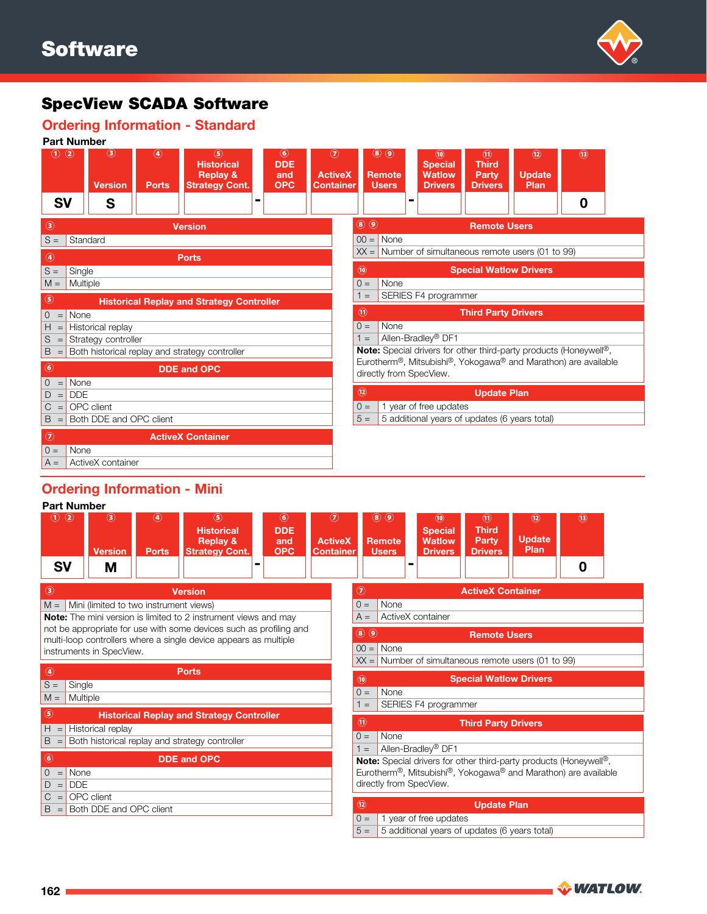

#### Ordering Information - Standard



#### Ordering Information - Mini Part Number

|                        | Part Number                                  |                               |                                                                                    |                                                  |                                                      |                |                                                                  |                                                                     |                                                                     |                                                       |                                                                                       |  |
|------------------------|----------------------------------------------|-------------------------------|------------------------------------------------------------------------------------|--------------------------------------------------|------------------------------------------------------|----------------|------------------------------------------------------------------|---------------------------------------------------------------------|---------------------------------------------------------------------|-------------------------------------------------------|---------------------------------------------------------------------------------------|--|
| $\odot$ ②<br><b>SV</b> | $\circled{3}$<br><b>Version</b><br>M         | $\circledast$<br><b>Ports</b> | $\circled{s}$<br><b>Historical</b><br><b>Replay &amp;</b><br><b>Strategy Cont.</b> | $\circled{6}$<br><b>DDE</b><br>and<br><b>OPC</b> | $\circledcirc$<br><b>ActiveX</b><br><b>Container</b> |                | $\circledast$<br>$\circledcirc$<br><b>Remote</b><br><b>Users</b> | $\circledcirc$<br><b>Special</b><br><b>Watlow</b><br><b>Drivers</b> | $\textcircled{\tiny{n}}$<br><b>Third</b><br>Party<br><b>Drivers</b> | $\circledR$<br><b>Update</b><br>Plan                  | $\circled{1}$<br>0                                                                    |  |
|                        |                                              |                               |                                                                                    |                                                  |                                                      |                |                                                                  |                                                                     |                                                                     |                                                       |                                                                                       |  |
| $\circledcirc$         |                                              |                               | <b>Version</b>                                                                     |                                                  |                                                      | $\circledcirc$ |                                                                  |                                                                     | <b>ActiveX Container</b>                                            |                                                       |                                                                                       |  |
|                        | $M =$ Mini (limited to two instrument views) |                               |                                                                                    |                                                  |                                                      | $0 =$          | None                                                             |                                                                     |                                                                     |                                                       |                                                                                       |  |
|                        |                                              |                               | <b>Note:</b> The mini version is limited to 2 instrument views and may             |                                                  |                                                      | $A =$          |                                                                  | ActiveX container                                                   |                                                                     |                                                       |                                                                                       |  |
|                        |                                              |                               | not be appropriate for use with some devices such as profiling and                 |                                                  |                                                      | <b>8</b> 0     |                                                                  |                                                                     | <b>Remote Users</b>                                                 |                                                       |                                                                                       |  |
|                        | instruments in SpecView.                     |                               | multi-loop controllers where a single device appears as multiple                   |                                                  |                                                      | $00 =$         | None                                                             |                                                                     |                                                                     |                                                       |                                                                                       |  |
|                        |                                              |                               |                                                                                    |                                                  |                                                      |                |                                                                  |                                                                     |                                                                     | $XX =$ Number of simultaneous remote users (01 to 99) |                                                                                       |  |
| ◉                      |                                              |                               | <b>Ports</b>                                                                       |                                                  |                                                      |                |                                                                  |                                                                     |                                                                     |                                                       |                                                                                       |  |
| $S =$                  | Single                                       |                               |                                                                                    |                                                  |                                                      | $\circledcirc$ |                                                                  |                                                                     | <b>Special Watlow Drivers</b>                                       |                                                       |                                                                                       |  |
| $M =$                  | Multiple                                     |                               |                                                                                    |                                                  |                                                      | $0 =$          | None                                                             |                                                                     |                                                                     |                                                       |                                                                                       |  |
| $\circledS$            |                                              |                               | <b>Historical Replay and Strategy Controller</b>                                   |                                                  |                                                      | $\equiv$       |                                                                  | SERIES F4 programmer                                                |                                                                     |                                                       |                                                                                       |  |
| $H =$                  | Historical replay                            |                               |                                                                                    |                                                  |                                                      | $\circledR$    |                                                                  |                                                                     | <b>Third Party Drivers</b>                                          |                                                       |                                                                                       |  |
| B                      |                                              |                               | Both historical replay and strategy controller                                     |                                                  |                                                      | $Q =$          | None                                                             |                                                                     |                                                                     |                                                       |                                                                                       |  |
|                        |                                              |                               |                                                                                    |                                                  |                                                      | $1 =$          |                                                                  | Allen-Bradley <sup>®</sup> DF1                                      |                                                                     |                                                       |                                                                                       |  |
| $\circled{6}$          |                                              |                               | <b>DDE and OPC</b>                                                                 |                                                  |                                                      |                |                                                                  |                                                                     |                                                                     |                                                       | <b>Note:</b> Special drivers for other third-party products (Honeywell <sup>®</sup> , |  |
| $\mathbf 0$<br>$=$     | None                                         |                               |                                                                                    |                                                  |                                                      |                |                                                                  |                                                                     |                                                                     |                                                       | Eurotherm <sup>®</sup> , Mitsubishi®, Yokogawa® and Marathon) are available           |  |
| D<br>$=$               | <b>DDE</b>                                   |                               |                                                                                    |                                                  |                                                      |                | directly from SpecView.                                          |                                                                     |                                                                     |                                                       |                                                                                       |  |
| $\mathsf{C}$<br>$=$    | OPC client                                   |                               |                                                                                    |                                                  |                                                      | $\circledR$    |                                                                  |                                                                     | <b>Update Plan</b>                                                  |                                                       |                                                                                       |  |
| B<br>$=$               | Both DDE and OPC client                      |                               |                                                                                    |                                                  |                                                      |                |                                                                  |                                                                     |                                                                     |                                                       |                                                                                       |  |
|                        |                                              |                               |                                                                                    |                                                  |                                                      | $0 =$<br>$5 =$ |                                                                  | 1 year of free updates                                              |                                                                     |                                                       |                                                                                       |  |
|                        |                                              |                               |                                                                                    |                                                  |                                                      |                |                                                                  | 5 additional years of updates (6 years total)                       |                                                                     |                                                       |                                                                                       |  |

**WATLOW**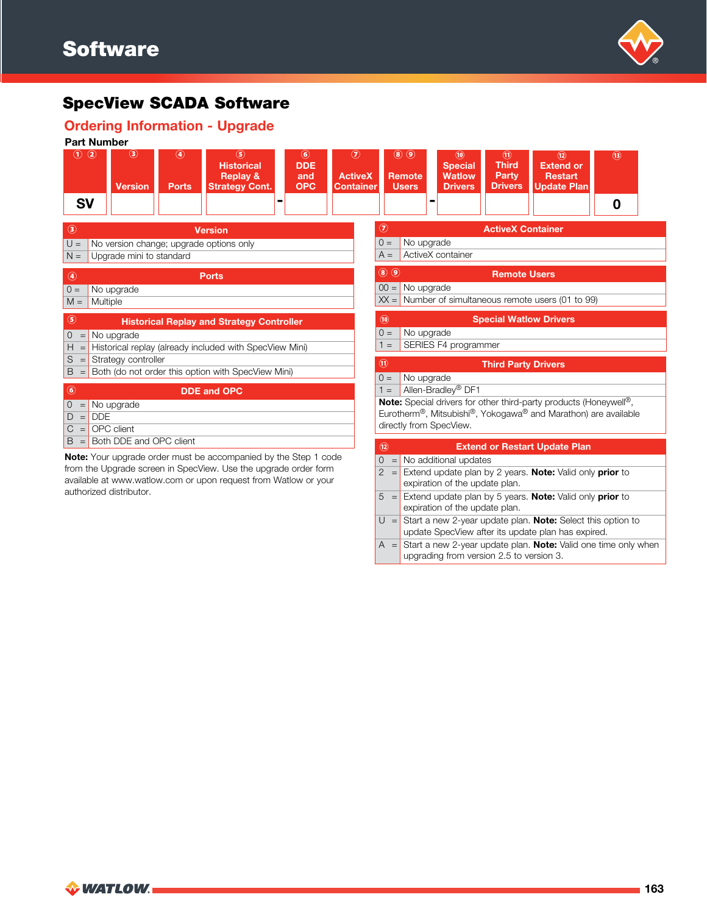

### Ordering Information - Upgrade



 $A =$ Start a new 2-year update plan. **Note:** Valid one time only when upgrading from version 2.5 to version 3.

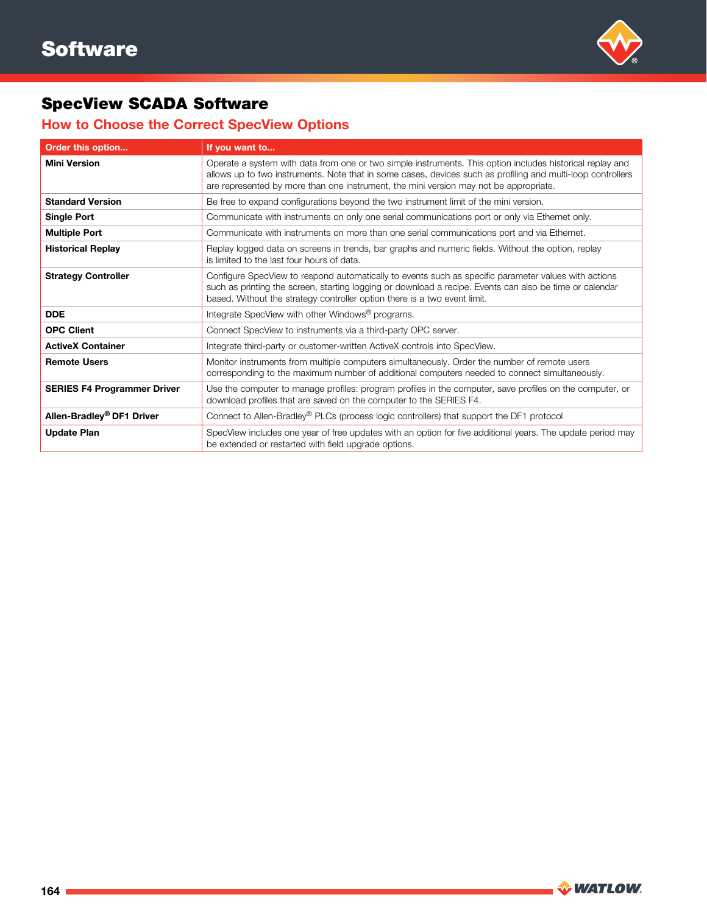

# How to Choose the Correct SpecView Options

| Order this option                     | If you want to                                                                                                                                                                                                                                                                                                    |
|---------------------------------------|-------------------------------------------------------------------------------------------------------------------------------------------------------------------------------------------------------------------------------------------------------------------------------------------------------------------|
| <b>Mini Version</b>                   | Operate a system with data from one or two simple instruments. This option includes historical replay and<br>allows up to two instruments. Note that in some cases, devices such as profiling and multi-loop controllers<br>are represented by more than one instrument, the mini version may not be appropriate. |
| <b>Standard Version</b>               | Be free to expand configurations beyond the two instrument limit of the mini version.                                                                                                                                                                                                                             |
| <b>Single Port</b>                    | Communicate with instruments on only one serial communications port or only via Ethernet only.                                                                                                                                                                                                                    |
| <b>Multiple Port</b>                  | Communicate with instruments on more than one serial communications port and via Ethernet.                                                                                                                                                                                                                        |
| <b>Historical Replay</b>              | Replay logged data on screens in trends, bar graphs and numeric fields. Without the option, replay<br>is limited to the last four hours of data.                                                                                                                                                                  |
| <b>Strategy Controller</b>            | Configure SpecView to respond automatically to events such as specific parameter values with actions<br>such as printing the screen, starting logging or download a recipe. Events can also be time or calendar<br>based. Without the strategy controller option there is a two event limit.                      |
| <b>DDE</b>                            | Integrate SpecView with other Windows <sup>®</sup> programs.                                                                                                                                                                                                                                                      |
| <b>OPC Client</b>                     | Connect SpecView to instruments via a third-party OPC server.                                                                                                                                                                                                                                                     |
| <b>ActiveX Container</b>              | Integrate third-party or customer-written ActiveX controls into SpecView.                                                                                                                                                                                                                                         |
| <b>Remote Users</b>                   | Monitor instruments from multiple computers simultaneously. Order the number of remote users<br>corresponding to the maximum number of additional computers needed to connect simultaneously.                                                                                                                     |
| <b>SERIES F4 Programmer Driver</b>    | Use the computer to manage profiles: program profiles in the computer, save profiles on the computer, or<br>download profiles that are saved on the computer to the SERIES F4.                                                                                                                                    |
| Allen-Bradley <sup>®</sup> DF1 Driver | Connect to Allen-Bradley® PLCs (process logic controllers) that support the DF1 protocol                                                                                                                                                                                                                          |
| <b>Update Plan</b>                    | SpecView includes one year of free updates with an option for five additional years. The update period may<br>be extended or restarted with field upgrade options.                                                                                                                                                |

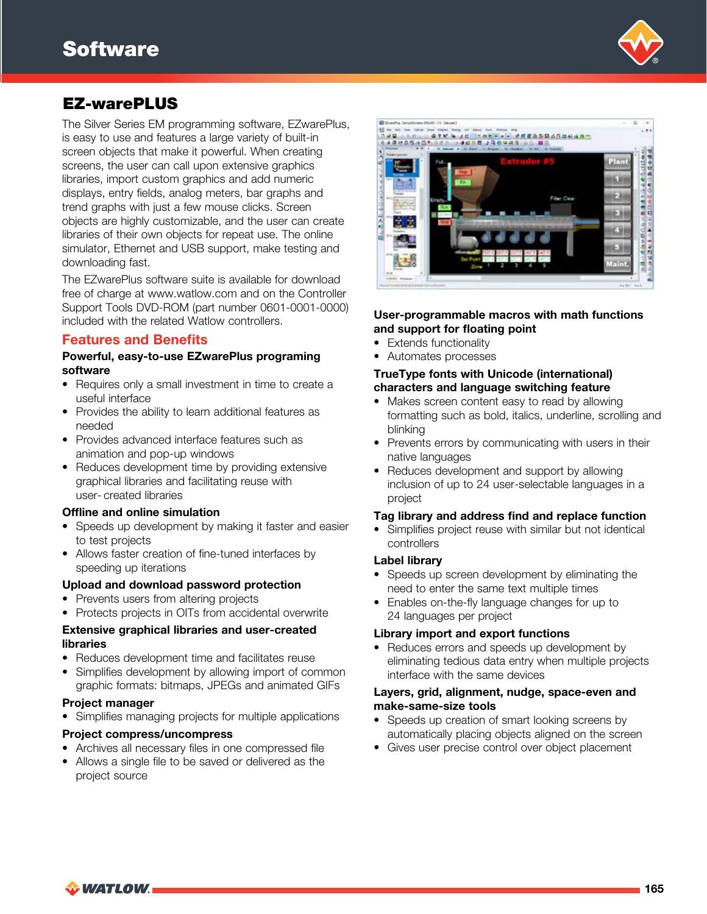

# EZ-warePLUS

The Silver Series EM programming software, EZwarePlus, is easy to use and features a large variety of built-in screen objects that make it powerful. When creating screens, the user can call upon extensive graphics libraries, import custom graphics and add numeric displays, entry fields, analog meters, bar graphs and trend graphs with just a few mouse clicks. Screen objects are highly customizable, and the user can create libraries of their own objects for repeat use. The online simulator, Ethernet and USB support, make testing and downloading fast.

The EZwarePlus software suite is available for download free of charge at www.watlow.com and on the Controller Support Tools DVD-ROM (part number 0601-0001-0000) included with the related Watlow controllers.

### Features and Benefits

#### Powerful, easy-to-use EZwarePlus programing software

- Requires only a small investment in time to create a useful interface
- Provides the ability to learn additional features as needed
- Provides advanced interface features such as animation and pop-up windows
- Reduces development time by providing extensive graphical libraries and facilitating reuse with user- created libraries

#### Offline and online simulation

- Speeds up development by making it faster and easier to test projects
- Allows faster creation of fine-tuned interfaces by speeding up iterations

#### Upload and download password protection

- Prevents users from altering projects
- Protects projects in OITs from accidental overwrite

#### Extensive graphical libraries and user-created libraries

- Reduces development time and facilitates reuse
- Simplifies development by allowing import of common graphic formats: bitmaps, JPEGs and animated GIFs

#### Project manager

• Simplifies managing projects for multiple applications

#### Project compress/uncompress

- Archives all necessary files in one compressed file
- Allows a single file to be saved or delivered as the project source



#### User-programmable macros with math functions and support for floating point

- Extends functionality
- Automates processes

#### TrueType fonts with Unicode (international) characters and language switching feature

- Makes screen content easy to read by allowing formatting such as bold, italics, underline, scrolling and blinking
- Prevents errors by communicating with users in their native languages
- Reduces development and support by allowing inclusion of up to 24 user-selectable languages in a project

#### Tag library and address find and replace function

• Simplifies project reuse with similar but not identical controllers

#### Label library

- Speeds up screen development by eliminating the need to enter the same text multiple times
- Enables on-the-fly language changes for up to 24 languages per project

#### Library import and export functions

• Reduces errors and speeds up development by eliminating tedious data entry when multiple projects interface with the same devices

#### Layers, grid, alignment, nudge, space-even and make-same-size tools

- Speeds up creation of smart looking screens by automatically placing objects aligned on the screen
- Gives user precise control over object placement